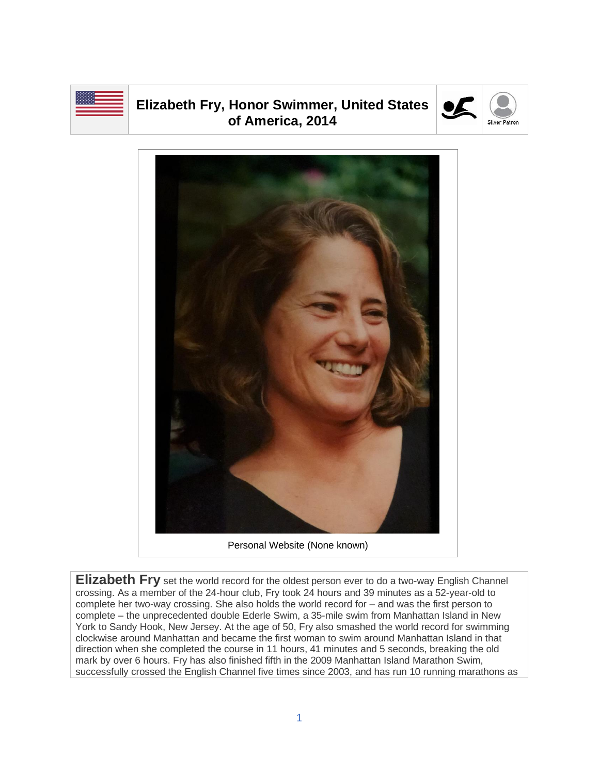

## **Elizabeth Fry, Honor Swimmer, United States of America, 2014**





**Elizabeth Fry** set the world record for the oldest person ever to do a two-way English Channel crossing. As a member of the 24-hour club, Fry took 24 hours and 39 minutes as a 52-year-old to complete her two-way crossing. She also holds the world record for – and was the first person to complete – the unprecedented double Ederle Swim, a 35-mile swim from Manhattan Island in New York to Sandy Hook, New Jersey. At the age of 50, Fry also smashed the world record for swimming clockwise around Manhattan and became the first woman to swim around Manhattan Island in that direction when she completed the course in 11 hours, 41 minutes and 5 seconds, breaking the old mark by over 6 hours. Fry has also finished fifth in the 2009 Manhattan Island Marathon Swim, successfully crossed the English Channel five times since 2003, and has run 10 running marathons as